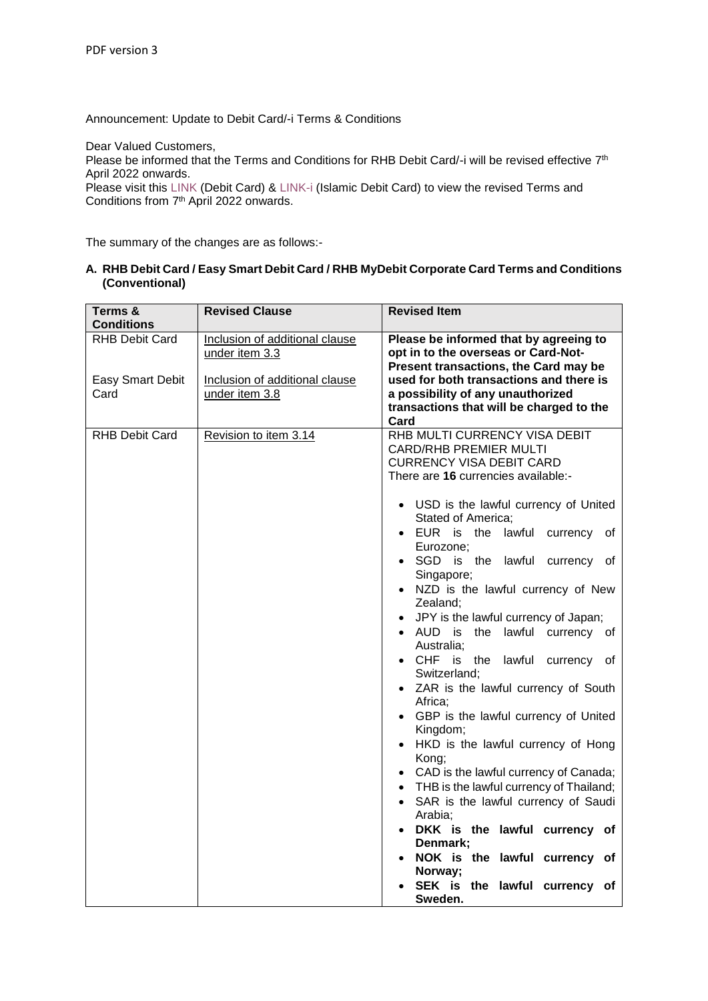Announcement: Update to Debit Card/-i Terms & Conditions

Dear Valued Customers,

Please be informed that the Terms and Conditions for RHB Debit Card/-i will be revised effective  $7<sup>th</sup>$ April 2022 onwards.

Please visit this [LINK](https://www.rhbgroup.com/personal/deposits/current-account/basic-current-account/index.html) (Debit Card) & [LINK-i](https://www.rhbgroup.com/islamic/deposits/current/current-account-i/index.html) (Islamic Debit Card) to view the revised Terms and Conditions from 7<sup>th</sup> April 2022 onwards.

The summary of the changes are as follows:-

**A. RHB Debit Card / Easy Smart Debit Card / RHB MyDebit Corporate Card Terms and Conditions (Conventional)**

| Terms &<br><b>Conditions</b>                      | <b>Revised Clause</b>                                                                                | <b>Revised Item</b>                                                                                                                                                                                                                                                                                                                                                                                                                                                                                                                                                                                                                                                                                                                                                                                                                                                                                                                                              |
|---------------------------------------------------|------------------------------------------------------------------------------------------------------|------------------------------------------------------------------------------------------------------------------------------------------------------------------------------------------------------------------------------------------------------------------------------------------------------------------------------------------------------------------------------------------------------------------------------------------------------------------------------------------------------------------------------------------------------------------------------------------------------------------------------------------------------------------------------------------------------------------------------------------------------------------------------------------------------------------------------------------------------------------------------------------------------------------------------------------------------------------|
| <b>RHB Debit Card</b><br>Easy Smart Debit<br>Card | Inclusion of additional clause<br>under item 3.3<br>Inclusion of additional clause<br>under item 3.8 | Please be informed that by agreeing to<br>opt in to the overseas or Card-Not-<br>Present transactions, the Card may be<br>used for both transactions and there is<br>a possibility of any unauthorized<br>transactions that will be charged to the<br>Card                                                                                                                                                                                                                                                                                                                                                                                                                                                                                                                                                                                                                                                                                                       |
| <b>RHB Debit Card</b>                             | Revision to item 3.14                                                                                | RHB MULTI CURRENCY VISA DEBIT<br><b>CARD/RHB PREMIER MULTI</b><br><b>CURRENCY VISA DEBIT CARD</b><br>There are 16 currencies available:-<br>• USD is the lawful currency of United<br>Stated of America;<br>• EUR is the lawful<br>currency<br>of<br>Eurozone;<br>SGD is the lawful currency of<br>Singapore;<br>NZD is the lawful currency of New<br>Zealand;<br>• JPY is the lawful currency of Japan;<br>AUD is the lawful currency of<br>Australia;<br>CHF is the<br>lawful currency of<br>Switzerland;<br>• ZAR is the lawful currency of South<br>Africa:<br>• GBP is the lawful currency of United<br>Kingdom;<br>HKD is the lawful currency of Hong<br>Kong;<br>• CAD is the lawful currency of Canada;<br>• THB is the lawful currency of Thailand;<br>SAR is the lawful currency of Saudi<br>$\bullet$<br>Arabia:<br>DKK is the lawful currency of<br>Denmark;<br>NOK is the lawful currency of<br>Norway;<br>SEK is the lawful currency of<br>Sweden. |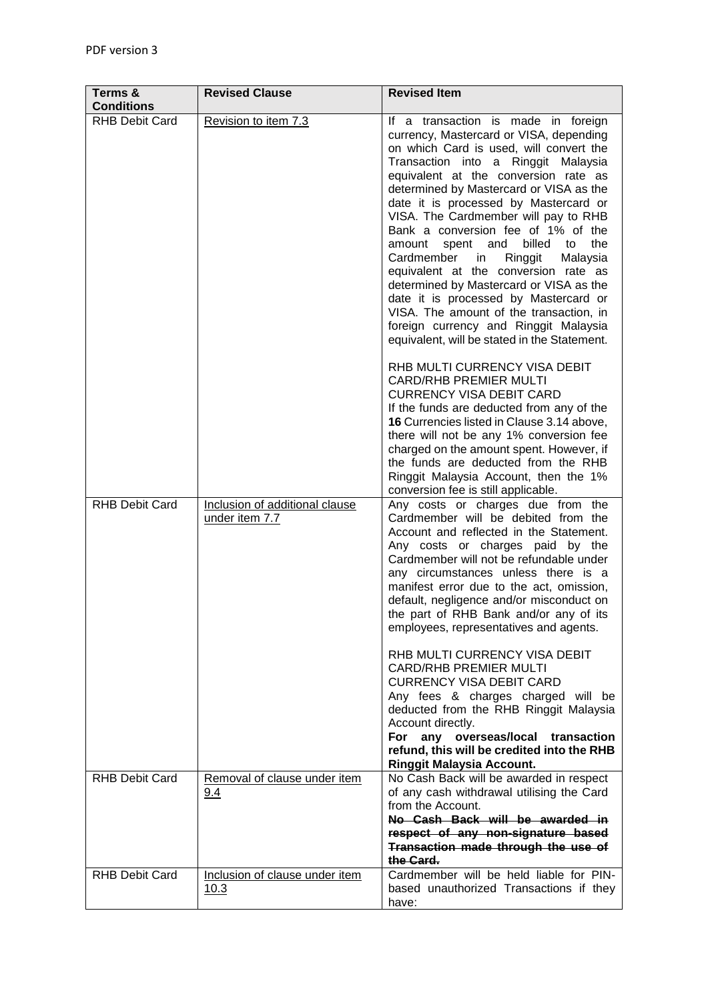| Terms &<br><b>Conditions</b> | <b>Revised Clause</b>                            | <b>Revised Item</b>                                                                                                                                                                                                                                                                                                                                                                                                                                                                                                                                                                                                                                                                                                              |
|------------------------------|--------------------------------------------------|----------------------------------------------------------------------------------------------------------------------------------------------------------------------------------------------------------------------------------------------------------------------------------------------------------------------------------------------------------------------------------------------------------------------------------------------------------------------------------------------------------------------------------------------------------------------------------------------------------------------------------------------------------------------------------------------------------------------------------|
| <b>RHB Debit Card</b>        | Revision to item 7.3                             | If a transaction is made in foreign<br>currency, Mastercard or VISA, depending<br>on which Card is used, will convert the<br>Transaction into a Ringgit Malaysia<br>equivalent at the conversion rate as<br>determined by Mastercard or VISA as the<br>date it is processed by Mastercard or<br>VISA. The Cardmember will pay to RHB<br>Bank a conversion fee of 1% of the<br>billed to<br>spent and<br>the<br>amount<br>Cardmember<br>Ringgit<br>Malaysia<br>in<br>equivalent at the conversion rate as<br>determined by Mastercard or VISA as the<br>date it is processed by Mastercard or<br>VISA. The amount of the transaction, in<br>foreign currency and Ringgit Malaysia<br>equivalent, will be stated in the Statement. |
|                              |                                                  | RHB MULTI CURRENCY VISA DEBIT<br><b>CARD/RHB PREMIER MULTI</b><br><b>CURRENCY VISA DEBIT CARD</b><br>If the funds are deducted from any of the<br>16 Currencies listed in Clause 3.14 above,<br>there will not be any 1% conversion fee<br>charged on the amount spent. However, if<br>the funds are deducted from the RHB<br>Ringgit Malaysia Account, then the 1%<br>conversion fee is still applicable.                                                                                                                                                                                                                                                                                                                       |
| <b>RHB Debit Card</b>        | Inclusion of additional clause<br>under item 7.7 | Any costs or charges due from the<br>Cardmember will be debited from the<br>Account and reflected in the Statement.<br>Any costs or charges paid by the<br>Cardmember will not be refundable under<br>any circumstances unless there is a<br>manifest error due to the act, omission,<br>default, negligence and/or misconduct on<br>the part of RHB Bank and/or any of its<br>employees, representatives and agents.                                                                                                                                                                                                                                                                                                            |
|                              |                                                  | RHB MULTI CURRENCY VISA DEBIT<br><b>CARD/RHB PREMIER MULTI</b><br><b>CURRENCY VISA DEBIT CARD</b><br>Any fees & charges charged will be<br>deducted from the RHB Ringgit Malaysia<br>Account directly.<br>any overseas/local transaction<br><b>For</b><br>refund, this will be credited into the RHB<br><b>Ringgit Malaysia Account.</b>                                                                                                                                                                                                                                                                                                                                                                                         |
| <b>RHB Debit Card</b>        | Removal of clause under item<br>9.4              | No Cash Back will be awarded in respect<br>of any cash withdrawal utilising the Card<br>from the Account.<br>No Cash Back will be awarded in<br>respect of any non-signature based<br>Transaction made through the use of<br>the Card.                                                                                                                                                                                                                                                                                                                                                                                                                                                                                           |
| <b>RHB Debit Card</b>        | Inclusion of clause under item<br>10.3           | Cardmember will be held liable for PIN-<br>based unauthorized Transactions if they<br>have:                                                                                                                                                                                                                                                                                                                                                                                                                                                                                                                                                                                                                                      |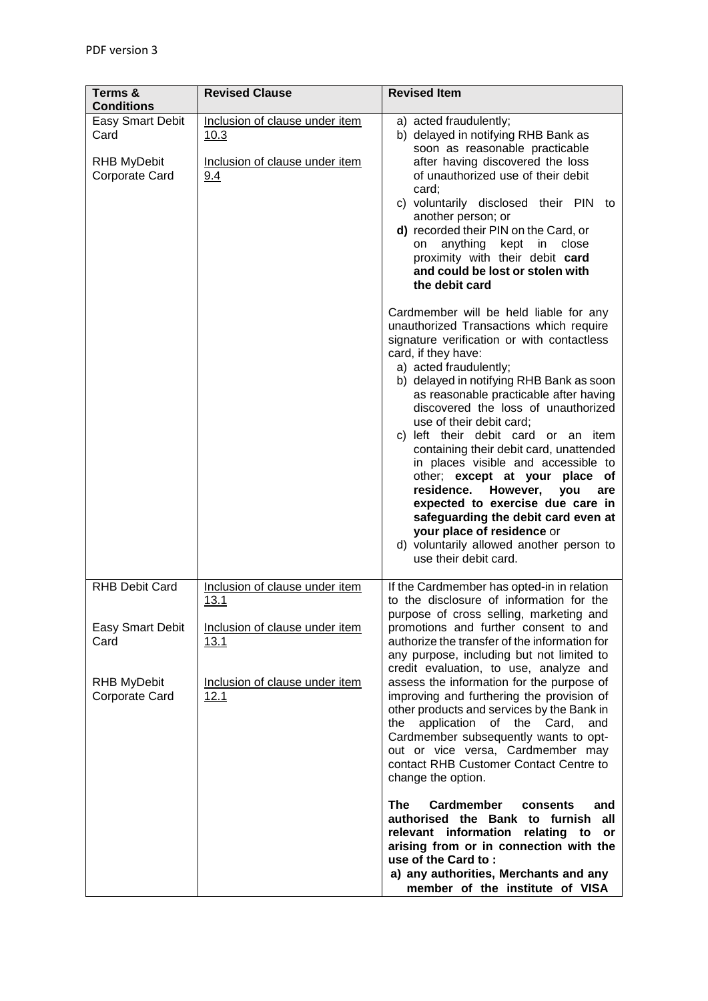| Terms &<br><b>Conditions</b>                                                                     | <b>Revised Clause</b>                                                                                                      | <b>Revised Item</b>                                                                                                                                                                                                                                                                                                                                                                                                                                                                                                                                                                                                                                                                                                           |
|--------------------------------------------------------------------------------------------------|----------------------------------------------------------------------------------------------------------------------------|-------------------------------------------------------------------------------------------------------------------------------------------------------------------------------------------------------------------------------------------------------------------------------------------------------------------------------------------------------------------------------------------------------------------------------------------------------------------------------------------------------------------------------------------------------------------------------------------------------------------------------------------------------------------------------------------------------------------------------|
| Easy Smart Debit<br>Card<br><b>RHB MyDebit</b><br>Corporate Card                                 | Inclusion of clause under item<br>10.3<br>Inclusion of clause under item<br>9.4                                            | a) acted fraudulently;<br>b) delayed in notifying RHB Bank as<br>soon as reasonable practicable<br>after having discovered the loss<br>of unauthorized use of their debit<br>card;<br>c) voluntarily disclosed their PIN to<br>another person; or<br>d) recorded their PIN on the Card, or<br>anything kept in close<br>on<br>proximity with their debit card<br>and could be lost or stolen with<br>the debit card                                                                                                                                                                                                                                                                                                           |
|                                                                                                  |                                                                                                                            | Cardmember will be held liable for any<br>unauthorized Transactions which require<br>signature verification or with contactless<br>card, if they have:<br>a) acted fraudulently;<br>b) delayed in notifying RHB Bank as soon<br>as reasonable practicable after having<br>discovered the loss of unauthorized<br>use of their debit card;<br>c) left their debit card or an item<br>containing their debit card, unattended<br>in places visible and accessible to<br>other; except at your<br>place of<br>residence.<br>However,<br>you<br>are<br>expected to exercise due care in<br>safeguarding the debit card even at<br>your place of residence or<br>d) voluntarily allowed another person to<br>use their debit card. |
| <b>RHB Debit Card</b><br><b>Easy Smart Debit</b><br>Card<br><b>RHB MyDebit</b><br>Corporate Card | Inclusion of clause under item<br>13.1<br>Inclusion of clause under item<br>13.1<br>Inclusion of clause under item<br>12.1 | If the Cardmember has opted-in in relation<br>to the disclosure of information for the<br>purpose of cross selling, marketing and<br>promotions and further consent to and<br>authorize the transfer of the information for<br>any purpose, including but not limited to<br>credit evaluation, to use, analyze and<br>assess the information for the purpose of<br>improving and furthering the provision of<br>other products and services by the Bank in<br>the application of the Card,<br>and<br>Cardmember subsequently wants to opt-<br>out or vice versa, Cardmember may<br>contact RHB Customer Contact Centre to<br>change the option.                                                                               |
|                                                                                                  |                                                                                                                            | <b>Cardmember</b><br><b>The</b><br>consents<br>and<br>authorised the Bank to furnish<br>all<br>relevant information relating to<br>or<br>arising from or in connection with the<br>use of the Card to:<br>a) any authorities, Merchants and any<br>member of the institute of VISA                                                                                                                                                                                                                                                                                                                                                                                                                                            |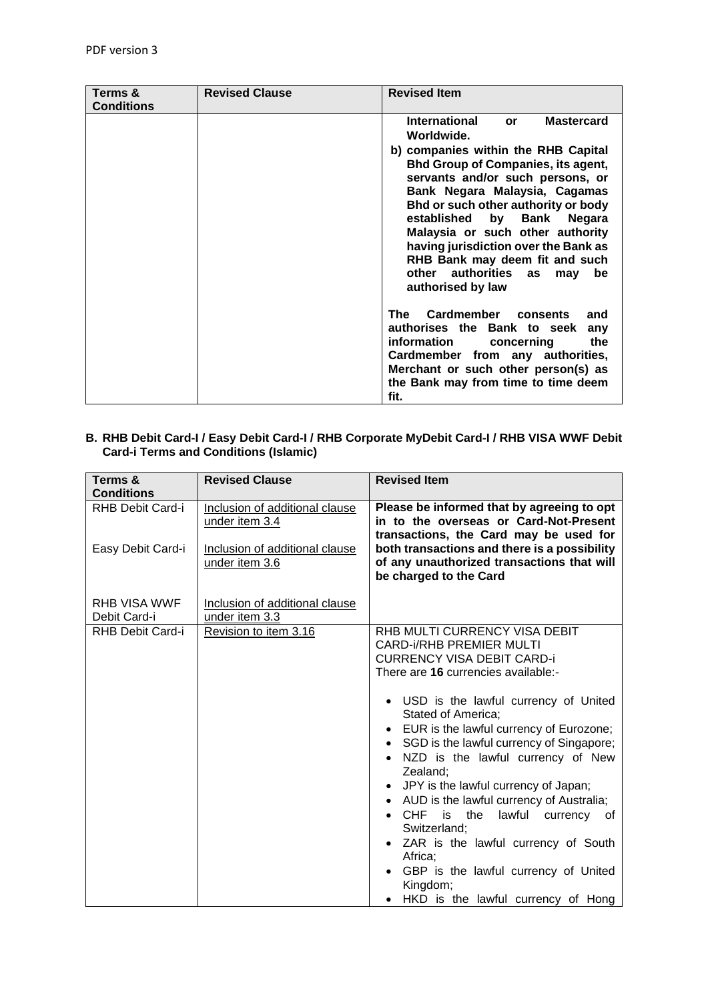| Terms &           | <b>Revised Clause</b> | <b>Revised Item</b>                                                                                                                                                                                                                                                                                                                                                                                             |
|-------------------|-----------------------|-----------------------------------------------------------------------------------------------------------------------------------------------------------------------------------------------------------------------------------------------------------------------------------------------------------------------------------------------------------------------------------------------------------------|
| <b>Conditions</b> |                       |                                                                                                                                                                                                                                                                                                                                                                                                                 |
|                   |                       | <b>International</b><br><b>Mastercard</b><br><b>or</b>                                                                                                                                                                                                                                                                                                                                                          |
|                   |                       | Worldwide.                                                                                                                                                                                                                                                                                                                                                                                                      |
|                   |                       | b) companies within the RHB Capital<br><b>Bhd Group of Companies, its agent,</b><br>servants and/or such persons, or<br>Bank Negara Malaysia, Cagamas<br>Bhd or such other authority or body<br>established<br>by Bank<br><b>Negara</b><br>Malaysia or such other authority<br>having jurisdiction over the Bank as<br>RHB Bank may deem fit and such<br>other authorities as<br>be<br>may<br>authorised by law |
|                   |                       | Cardmember<br>The<br>consents<br>and<br>authorises the Bank to seek<br>any<br>information<br>concerning<br>the<br>Cardmember from any authorities,<br>Merchant or such other person(s) as<br>the Bank may from time to time deem<br>fit.                                                                                                                                                                        |

## **B. RHB Debit Card-I / Easy Debit Card-I / RHB Corporate MyDebit Card-I / RHB VISA WWF Debit Card-i Terms and Conditions (Islamic)**

| Terms &<br><b>Conditions</b>          | <b>Revised Clause</b>                                                                                | <b>Revised Item</b>                                                                                                                                                                                                                                                                                                                                                                                                                                                                                                                                                                                                                                               |
|---------------------------------------|------------------------------------------------------------------------------------------------------|-------------------------------------------------------------------------------------------------------------------------------------------------------------------------------------------------------------------------------------------------------------------------------------------------------------------------------------------------------------------------------------------------------------------------------------------------------------------------------------------------------------------------------------------------------------------------------------------------------------------------------------------------------------------|
| RHB Debit Card-i<br>Easy Debit Card-i | Inclusion of additional clause<br>under item 3.4<br>Inclusion of additional clause<br>under item 3.6 | Please be informed that by agreeing to opt<br>in to the overseas or Card-Not-Present<br>transactions, the Card may be used for<br>both transactions and there is a possibility<br>of any unauthorized transactions that will<br>be charged to the Card                                                                                                                                                                                                                                                                                                                                                                                                            |
| <b>RHB VISA WWF</b><br>Debit Card-i   | Inclusion of additional clause<br>under item 3.3                                                     |                                                                                                                                                                                                                                                                                                                                                                                                                                                                                                                                                                                                                                                                   |
| RHB Debit Card-i                      | Revision to item 3.16                                                                                | RHB MULTI CURRENCY VISA DEBIT<br><b>CARD-i/RHB PREMIER MULTI</b><br><b>CURRENCY VISA DEBIT CARD-i</b><br>There are 16 currencies available:-<br>• USD is the lawful currency of United<br>Stated of America:<br>EUR is the lawful currency of Eurozone;<br>• SGD is the lawful currency of Singapore;<br>NZD is the lawful currency of New<br>$\bullet$<br>Zealand;<br>JPY is the lawful currency of Japan;<br>• AUD is the lawful currency of Australia;<br>CHF<br>is<br>the<br>lawful currency of<br>Switzerland;<br>• ZAR is the lawful currency of South<br>Africa:<br>GBP is the lawful currency of United<br>Kingdom;<br>HKD is the lawful currency of Hong |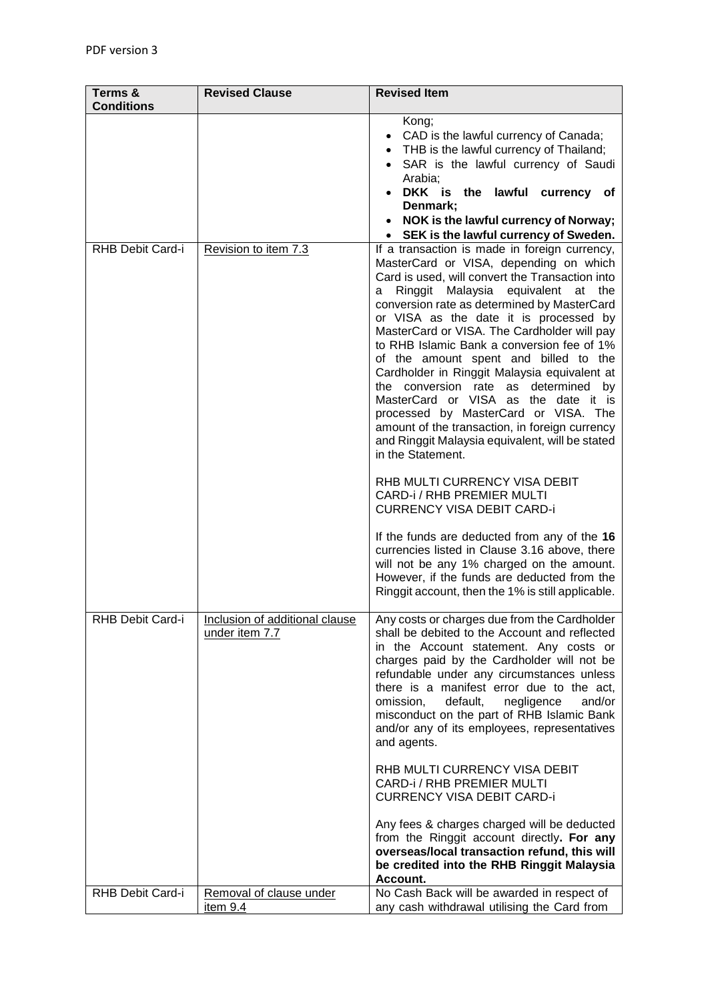| Terms &           | <b>Revised Clause</b>                            | <b>Revised Item</b>                                                                                                                                                                                                                                                                                                                                                                                                                                                                                                                                                                                                                                                                                                                                                                                                                                                                                                                                                       |
|-------------------|--------------------------------------------------|---------------------------------------------------------------------------------------------------------------------------------------------------------------------------------------------------------------------------------------------------------------------------------------------------------------------------------------------------------------------------------------------------------------------------------------------------------------------------------------------------------------------------------------------------------------------------------------------------------------------------------------------------------------------------------------------------------------------------------------------------------------------------------------------------------------------------------------------------------------------------------------------------------------------------------------------------------------------------|
| <b>Conditions</b> |                                                  |                                                                                                                                                                                                                                                                                                                                                                                                                                                                                                                                                                                                                                                                                                                                                                                                                                                                                                                                                                           |
|                   |                                                  | Kong;<br>CAD is the lawful currency of Canada;<br>THB is the lawful currency of Thailand;<br>SAR is the lawful currency of Saudi<br>Arabia;<br>DKK is the lawful currency of<br>Denmark;<br>NOK is the lawful currency of Norway;<br>• SEK is the lawful currency of Sweden.                                                                                                                                                                                                                                                                                                                                                                                                                                                                                                                                                                                                                                                                                              |
| RHB Debit Card-i  | Revision to item 7.3                             | If a transaction is made in foreign currency,                                                                                                                                                                                                                                                                                                                                                                                                                                                                                                                                                                                                                                                                                                                                                                                                                                                                                                                             |
|                   |                                                  | MasterCard or VISA, depending on which<br>Card is used, will convert the Transaction into<br>Ringgit Malaysia equivalent at the<br>a<br>conversion rate as determined by MasterCard<br>or VISA as the date it is processed by<br>MasterCard or VISA. The Cardholder will pay<br>to RHB Islamic Bank a conversion fee of 1%<br>of the amount spent and billed to the<br>Cardholder in Ringgit Malaysia equivalent at<br>the conversion rate as determined<br>by<br>MasterCard or VISA as the date it is<br>processed by MasterCard or VISA. The<br>amount of the transaction, in foreign currency<br>and Ringgit Malaysia equivalent, will be stated<br>in the Statement.<br>RHB MULTI CURRENCY VISA DEBIT<br>CARD-i / RHB PREMIER MULTI<br><b>CURRENCY VISA DEBIT CARD-i</b><br>If the funds are deducted from any of the 16<br>currencies listed in Clause 3.16 above, there<br>will not be any 1% charged on the amount.<br>However, if the funds are deducted from the |
|                   |                                                  | Ringgit account, then the 1% is still applicable.                                                                                                                                                                                                                                                                                                                                                                                                                                                                                                                                                                                                                                                                                                                                                                                                                                                                                                                         |
| RHB Debit Card-i  | Inclusion of additional clause<br>under item 7.7 | Any costs or charges due from the Cardholder<br>shall be debited to the Account and reflected<br>in the Account statement. Any costs or<br>charges paid by the Cardholder will not be<br>refundable under any circumstances unless<br>there is a manifest error due to the act,<br>default,<br>negligence<br>and/or<br>omission,<br>misconduct on the part of RHB Islamic Bank<br>and/or any of its employees, representatives<br>and agents.                                                                                                                                                                                                                                                                                                                                                                                                                                                                                                                             |
|                   |                                                  | RHB MULTI CURRENCY VISA DEBIT<br>CARD-i / RHB PREMIER MULTI<br><b>CURRENCY VISA DEBIT CARD-i</b>                                                                                                                                                                                                                                                                                                                                                                                                                                                                                                                                                                                                                                                                                                                                                                                                                                                                          |
|                   |                                                  | Any fees & charges charged will be deducted<br>from the Ringgit account directly. For any<br>overseas/local transaction refund, this will<br>be credited into the RHB Ringgit Malaysia<br>Account.                                                                                                                                                                                                                                                                                                                                                                                                                                                                                                                                                                                                                                                                                                                                                                        |
| RHB Debit Card-i  | Removal of clause under<br>item 9.4              | No Cash Back will be awarded in respect of<br>any cash withdrawal utilising the Card from                                                                                                                                                                                                                                                                                                                                                                                                                                                                                                                                                                                                                                                                                                                                                                                                                                                                                 |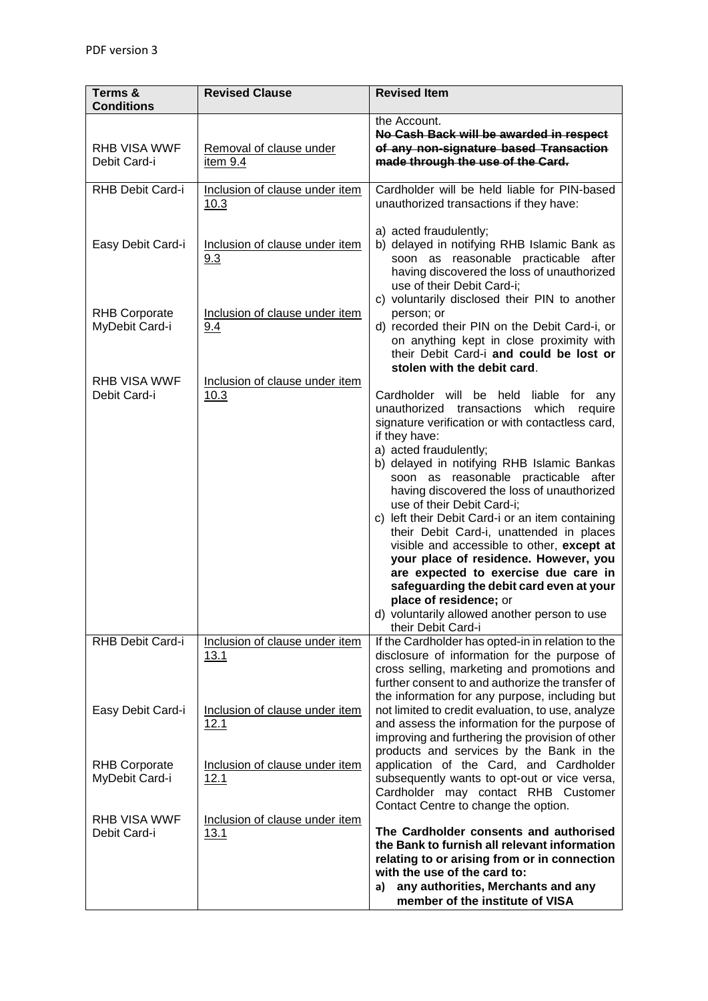| Terms &<br><b>Conditions</b>           | <b>Revised Clause</b>                  | <b>Revised Item</b>                                                                                                                                                                                                                                                                                                                                                                                                                                                                                                                                                                                                                                                                                                                                             |
|----------------------------------------|----------------------------------------|-----------------------------------------------------------------------------------------------------------------------------------------------------------------------------------------------------------------------------------------------------------------------------------------------------------------------------------------------------------------------------------------------------------------------------------------------------------------------------------------------------------------------------------------------------------------------------------------------------------------------------------------------------------------------------------------------------------------------------------------------------------------|
| <b>RHB VISA WWF</b><br>Debit Card-i    | Removal of clause under<br>item 9.4    | the Account.<br>No Cash Back will be awarded in respect<br>of any non-signature based Transaction<br>made through the use of the Card.                                                                                                                                                                                                                                                                                                                                                                                                                                                                                                                                                                                                                          |
| RHB Debit Card-i                       | Inclusion of clause under item<br>10.3 | Cardholder will be held liable for PIN-based<br>unauthorized transactions if they have:                                                                                                                                                                                                                                                                                                                                                                                                                                                                                                                                                                                                                                                                         |
| Easy Debit Card-i                      | Inclusion of clause under item<br>9.3  | a) acted fraudulently;<br>b) delayed in notifying RHB Islamic Bank as<br>soon as reasonable practicable after<br>having discovered the loss of unauthorized<br>use of their Debit Card-i;                                                                                                                                                                                                                                                                                                                                                                                                                                                                                                                                                                       |
| <b>RHB Corporate</b><br>MyDebit Card-i | Inclusion of clause under item<br>9.4  | c) voluntarily disclosed their PIN to another<br>person; or<br>d) recorded their PIN on the Debit Card-i, or<br>on anything kept in close proximity with<br>their Debit Card-i and could be lost or                                                                                                                                                                                                                                                                                                                                                                                                                                                                                                                                                             |
| <b>RHB VISA WWF</b><br>Debit Card-i    | Inclusion of clause under item<br>10.3 | stolen with the debit card.<br>Cardholder will be held liable for any<br>unauthorized transactions<br>which require<br>signature verification or with contactless card,<br>if they have:<br>a) acted fraudulently;<br>b) delayed in notifying RHB Islamic Bankas<br>soon as reasonable practicable after<br>having discovered the loss of unauthorized<br>use of their Debit Card-i;<br>c) left their Debit Card-i or an item containing<br>their Debit Card-i, unattended in places<br>visible and accessible to other, except at<br>your place of residence. However, you<br>are expected to exercise due care in<br>safeguarding the debit card even at your<br>place of residence; or<br>d) voluntarily allowed another person to use<br>their Debit Card-i |
| RHB Debit Card-i                       | Inclusion of clause under item<br>13.1 | If the Cardholder has opted-in in relation to the<br>disclosure of information for the purpose of<br>cross selling, marketing and promotions and<br>further consent to and authorize the transfer of<br>the information for any purpose, including but                                                                                                                                                                                                                                                                                                                                                                                                                                                                                                          |
| Easy Debit Card-i                      | Inclusion of clause under item<br>12.1 | not limited to credit evaluation, to use, analyze<br>and assess the information for the purpose of<br>improving and furthering the provision of other<br>products and services by the Bank in the                                                                                                                                                                                                                                                                                                                                                                                                                                                                                                                                                               |
| <b>RHB Corporate</b><br>MyDebit Card-i | Inclusion of clause under item<br>12.1 | application of the Card, and Cardholder<br>subsequently wants to opt-out or vice versa,<br>Cardholder may contact RHB Customer<br>Contact Centre to change the option.                                                                                                                                                                                                                                                                                                                                                                                                                                                                                                                                                                                          |
| <b>RHB VISA WWF</b><br>Debit Card-i    | Inclusion of clause under item<br>13.1 | The Cardholder consents and authorised<br>the Bank to furnish all relevant information<br>relating to or arising from or in connection<br>with the use of the card to:<br>a) any authorities, Merchants and any<br>member of the institute of VISA                                                                                                                                                                                                                                                                                                                                                                                                                                                                                                              |